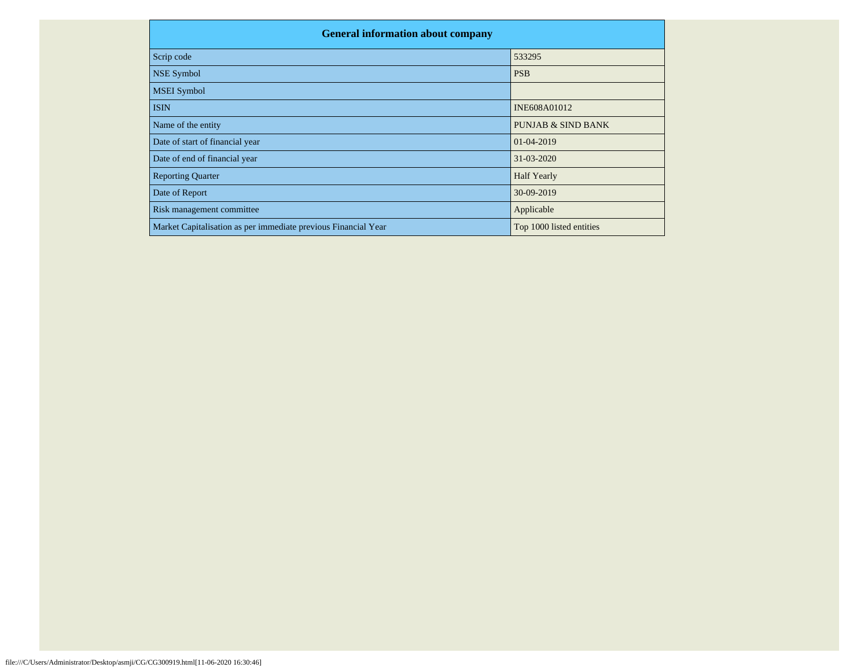| <b>General information about company</b>                       |                               |
|----------------------------------------------------------------|-------------------------------|
| Scrip code                                                     | 533295                        |
| <b>NSE Symbol</b>                                              | <b>PSB</b>                    |
| <b>MSEI</b> Symbol                                             |                               |
| <b>ISIN</b>                                                    | INE608A01012                  |
| Name of the entity                                             | <b>PUNJAB &amp; SIND BANK</b> |
| Date of start of financial year                                | 01-04-2019                    |
| Date of end of financial year                                  | 31-03-2020                    |
| <b>Reporting Quarter</b>                                       | <b>Half Yearly</b>            |
| Date of Report                                                 | 30-09-2019                    |
| Risk management committee                                      | Applicable                    |
| Market Capitalisation as per immediate previous Financial Year | Top 1000 listed entities      |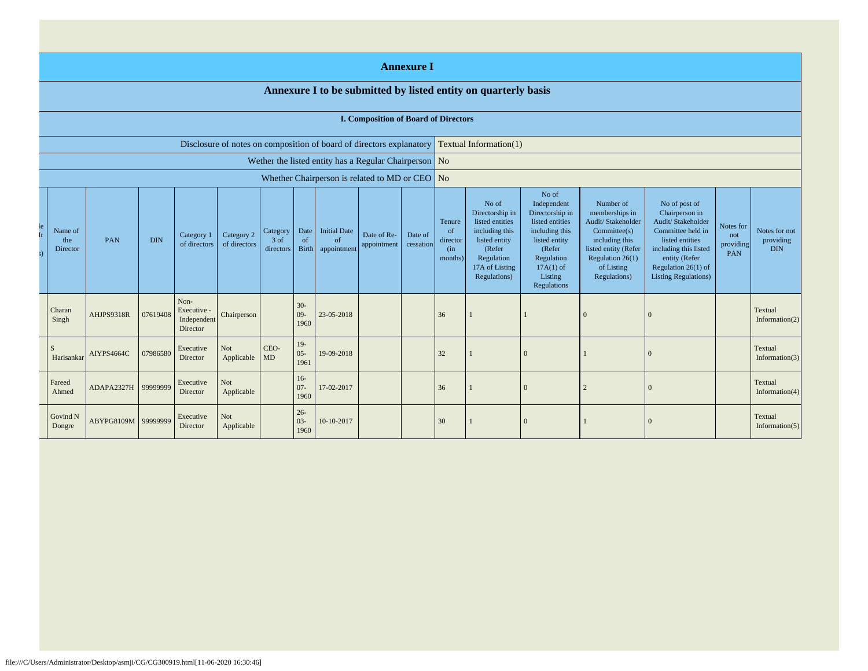|                                                                      |            |            |                                              |                            |                               |                            |                                                |                            | <b>Annexure I</b>      |                                             |                                                                                                                                          |                                                                                                                                                                |                                                                                                                                                                |                                                                                                                                                                                                 |                                      |                                          |
|----------------------------------------------------------------------|------------|------------|----------------------------------------------|----------------------------|-------------------------------|----------------------------|------------------------------------------------|----------------------------|------------------------|---------------------------------------------|------------------------------------------------------------------------------------------------------------------------------------------|----------------------------------------------------------------------------------------------------------------------------------------------------------------|----------------------------------------------------------------------------------------------------------------------------------------------------------------|-------------------------------------------------------------------------------------------------------------------------------------------------------------------------------------------------|--------------------------------------|------------------------------------------|
|                                                                      |            |            |                                              |                            |                               |                            |                                                |                            |                        |                                             | Annexure I to be submitted by listed entity on quarterly basis                                                                           |                                                                                                                                                                |                                                                                                                                                                |                                                                                                                                                                                                 |                                      |                                          |
|                                                                      |            |            |                                              |                            |                               |                            |                                                |                            |                        | <b>I. Composition of Board of Directors</b> |                                                                                                                                          |                                                                                                                                                                |                                                                                                                                                                |                                                                                                                                                                                                 |                                      |                                          |
| Disclosure of notes on composition of board of directors explanatory |            |            |                                              |                            |                               |                            |                                                |                            | Textual Information(1) |                                             |                                                                                                                                          |                                                                                                                                                                |                                                                                                                                                                |                                                                                                                                                                                                 |                                      |                                          |
| Wether the listed entity has a Regular Chairperson No                |            |            |                                              |                            |                               |                            |                                                |                            |                        |                                             |                                                                                                                                          |                                                                                                                                                                |                                                                                                                                                                |                                                                                                                                                                                                 |                                      |                                          |
|                                                                      |            |            |                                              |                            |                               |                            | Whether Chairperson is related to MD or CEO No |                            |                        |                                             |                                                                                                                                          |                                                                                                                                                                |                                                                                                                                                                |                                                                                                                                                                                                 |                                      |                                          |
| Name of<br>the<br>Director                                           | PAN        | <b>DIN</b> | Category 1<br>of directors                   | Category 2<br>of directors | Category<br>3 of<br>directors | Date<br>of<br><b>Birth</b> | <b>Initial Date</b><br>of<br>appointment       | Date of Re-<br>appointment | Date of<br>cessation   | Tenure<br>of<br>director<br>(in<br>months)  | No of<br>Directorship in<br>listed entities<br>including this<br>listed entity<br>(Refer<br>Regulation<br>17A of Listing<br>Regulations) | No of<br>Independent<br>Directorship in<br>listed entities<br>including this<br>listed entity<br>(Refer<br>Regulation<br>$17A(1)$ of<br>Listing<br>Regulations | Number of<br>memberships in<br>Audit/ Stakeholder<br>Commitee(s)<br>including this<br>listed entity (Refer<br>Regulation $26(1)$<br>of Listing<br>Regulations) | No of post of<br>Chairperson in<br>Audit/ Stakeholder<br>Committee held in<br>listed entities<br>including this listed<br>entity (Refer<br>Regulation $26(1)$ of<br><b>Listing Regulations)</b> | Notes for<br>not<br>providing<br>PAN | Notes for not<br>providing<br><b>DIN</b> |
| Charan<br>Singh                                                      | AHJPS9318R | 07619408   | Non-<br>Executive<br>Independent<br>Director | Chairperson                |                               | $30 -$<br>$09-$<br>1960    | 23-05-2018                                     |                            |                        | 36                                          |                                                                                                                                          |                                                                                                                                                                | $\Omega$                                                                                                                                                       | $\Omega$                                                                                                                                                                                        |                                      | Textual<br>Information $(2)$             |
| <sup>S</sup><br>Harisankar                                           | AIYPS4664C | 07986580   | Executive<br>Director                        | Not<br>Applicable          | CEO-<br>MD                    | $19-$<br>$05 -$<br>1961    | 19-09-2018                                     |                            |                        | 32                                          |                                                                                                                                          | $\Omega$                                                                                                                                                       |                                                                                                                                                                | $\Omega$                                                                                                                                                                                        |                                      | Textual<br>Information(3)                |
| Fareed<br>Ahmed                                                      | ADAPA2327H | 99999999   | Executive<br>Director                        | <b>Not</b><br>Applicable   |                               | $16 -$<br>$07 -$<br>1960   | 17-02-2017                                     |                            |                        | 36                                          |                                                                                                                                          | $\Omega$                                                                                                                                                       |                                                                                                                                                                | $\mathbf{0}$                                                                                                                                                                                    |                                      | Textual<br>Information $(4)$             |
| Govind N<br>Dongre                                                   | ABYPG8109M | 99999999   | Executive<br>Director                        | <b>Not</b><br>Applicable   |                               | $26 -$<br>$03 -$<br>1960   | 10-10-2017                                     |                            |                        | 30                                          |                                                                                                                                          | $\Omega$                                                                                                                                                       |                                                                                                                                                                | $\Omega$                                                                                                                                                                                        |                                      | Textual<br>Information $(5)$             |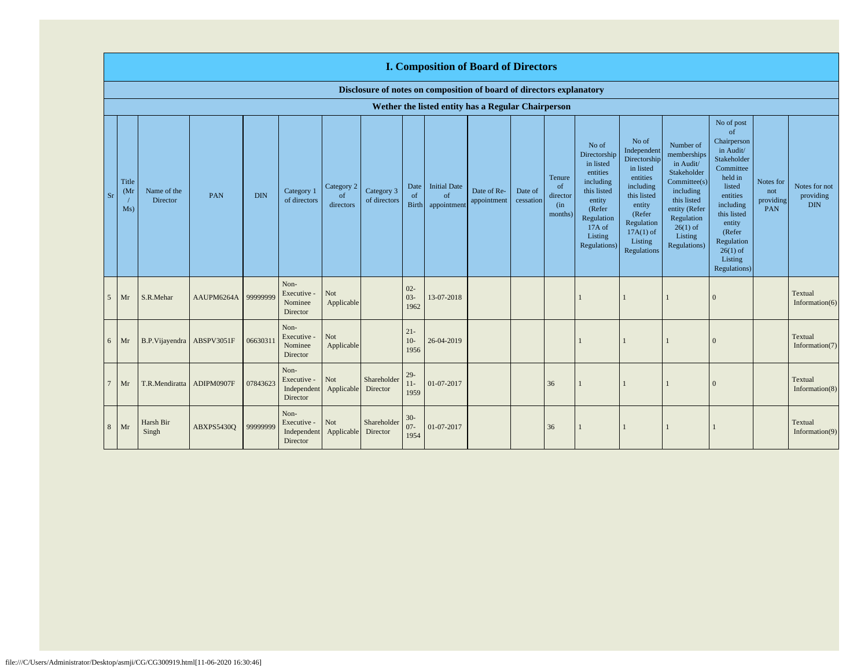|                 |                                   |                         |            |            |                                                |                               |                            |                            | <b>I. Composition of Board of Directors</b>                          |                            |                      |                                            |                                                                                                                                                   |                                                                                                                                                                      |                                                                                                                                                                          |                                                                                                                                                                                                                             |                                      |                                          |
|-----------------|-----------------------------------|-------------------------|------------|------------|------------------------------------------------|-------------------------------|----------------------------|----------------------------|----------------------------------------------------------------------|----------------------------|----------------------|--------------------------------------------|---------------------------------------------------------------------------------------------------------------------------------------------------|----------------------------------------------------------------------------------------------------------------------------------------------------------------------|--------------------------------------------------------------------------------------------------------------------------------------------------------------------------|-----------------------------------------------------------------------------------------------------------------------------------------------------------------------------------------------------------------------------|--------------------------------------|------------------------------------------|
|                 |                                   |                         |            |            |                                                |                               |                            |                            | Disclosure of notes on composition of board of directors explanatory |                            |                      |                                            |                                                                                                                                                   |                                                                                                                                                                      |                                                                                                                                                                          |                                                                                                                                                                                                                             |                                      |                                          |
|                 |                                   |                         |            |            |                                                |                               |                            |                            | Wether the listed entity has a Regular Chairperson                   |                            |                      |                                            |                                                                                                                                                   |                                                                                                                                                                      |                                                                                                                                                                          |                                                                                                                                                                                                                             |                                      |                                          |
| <b>Sr</b>       | Title<br>(M <sub>I</sub> )<br>Ms) | Name of the<br>Director | PAN        | <b>DIN</b> | Category 1<br>of directors                     | Category 2<br>of<br>directors | Category 3<br>of directors | Date<br>of<br><b>Birth</b> | <b>Initial Date</b><br>of<br>appointment                             | Date of Re-<br>appointment | Date of<br>cessation | Tenure<br>of<br>director<br>(in<br>months) | No of<br>Directorship<br>in listed<br>entities<br>including<br>this listed<br>entity<br>(Refer<br>Regulation<br>17A of<br>Listing<br>Regulations) | No of<br>Independent<br>Directorship<br>in listed<br>entities<br>including<br>this listed<br>entity<br>(Refer<br>Regulation<br>$17A(1)$ of<br>Listing<br>Regulations | Number of<br>memberships<br>in Audit/<br>Stakeholder<br>Committee(s)<br>including<br>this listed<br>entity (Refer<br>Regulation<br>$26(1)$ of<br>Listing<br>Regulations) | No of post<br><sub>of</sub><br>Chairperson<br>in Audit/<br>Stakeholder<br>Committee<br>held in<br>listed<br>entities<br>including<br>this listed<br>entity<br>(Refer<br>Regulation<br>$26(1)$ of<br>Listing<br>Regulations) | Notes for<br>not<br>providing<br>PAN | Notes for not<br>providing<br><b>DIN</b> |
| 5               | Mr                                | S.R.Mehar               | AAUPM6264A | 99999999   | Non-<br>Executive -<br>Nominee<br>Director     | Not<br>Applicable             |                            | $02 -$<br>$03 -$<br>1962   | 13-07-2018                                                           |                            |                      |                                            |                                                                                                                                                   |                                                                                                                                                                      |                                                                                                                                                                          | $\left($                                                                                                                                                                                                                    |                                      | Textual<br>Information $(6)$             |
| 6               | Mr                                | B.P.Vijayendra          | ABSPV3051F | 0663031    | Non-<br>Executive -<br>Nominee<br>Director     | Not<br>Applicable             |                            | $21 -$<br>$10-$<br>1956    | 26-04-2019                                                           |                            |                      |                                            |                                                                                                                                                   |                                                                                                                                                                      |                                                                                                                                                                          | $\left($                                                                                                                                                                                                                    |                                      | Textual<br>Information(7)                |
| $7\phantom{.0}$ | Mr                                | T.R.Mendiratta          | ADIPM0907F | 07843623   | Non-<br>Executive -<br>Independent<br>Director | Not<br>Applicable             | Shareholder<br>Director    | $29-$<br>$11-$<br>1959     | 01-07-2017                                                           |                            |                      | 36                                         |                                                                                                                                                   |                                                                                                                                                                      |                                                                                                                                                                          | $\left($                                                                                                                                                                                                                    |                                      | Textual<br>Information(8)                |
| 8               | Mr                                | Harsh Bir<br>Singh      | ABXPS5430Q | 99999999   | Non-<br>Executive -<br>Independent<br>Director | Not<br>Applicable             | Shareholder<br>Director    | $30 -$<br>$07 -$<br>1954   | 01-07-2017                                                           |                            |                      | 36                                         |                                                                                                                                                   |                                                                                                                                                                      |                                                                                                                                                                          |                                                                                                                                                                                                                             |                                      | Textual<br>Information(9)                |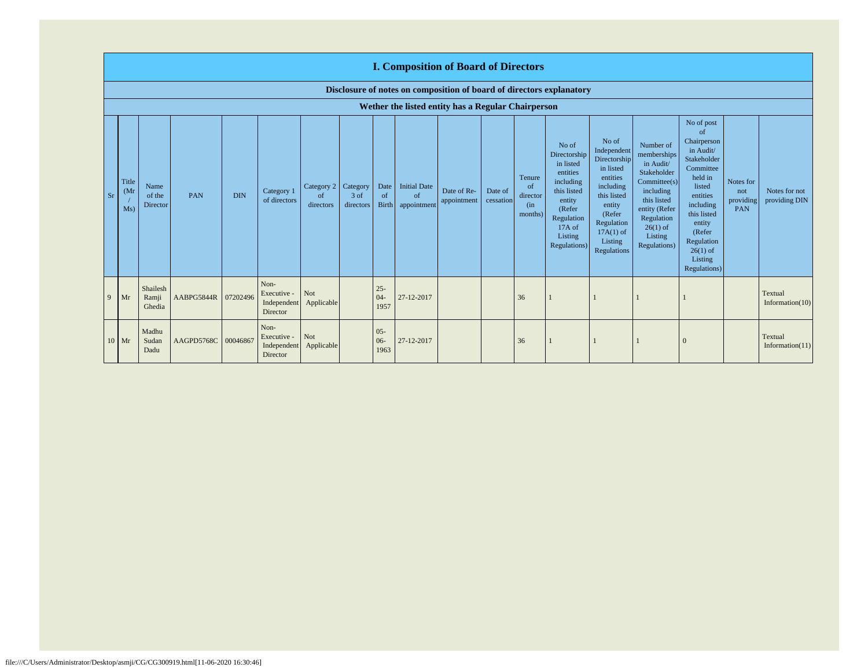|                | <b>I. Composition of Board of Directors</b>                          |                             |                     |            |                                                |                                          |                   |                            |                                          |                            |                      |                                            |                                                                                                                                                   |                                                                                                                                                                      |                                                                                                                                                                          |                                                                                                                                                                                                                  |                                      |                                |
|----------------|----------------------------------------------------------------------|-----------------------------|---------------------|------------|------------------------------------------------|------------------------------------------|-------------------|----------------------------|------------------------------------------|----------------------------|----------------------|--------------------------------------------|---------------------------------------------------------------------------------------------------------------------------------------------------|----------------------------------------------------------------------------------------------------------------------------------------------------------------------|--------------------------------------------------------------------------------------------------------------------------------------------------------------------------|------------------------------------------------------------------------------------------------------------------------------------------------------------------------------------------------------------------|--------------------------------------|--------------------------------|
|                | Disclosure of notes on composition of board of directors explanatory |                             |                     |            |                                                |                                          |                   |                            |                                          |                            |                      |                                            |                                                                                                                                                   |                                                                                                                                                                      |                                                                                                                                                                          |                                                                                                                                                                                                                  |                                      |                                |
|                | Wether the listed entity has a Regular Chairperson                   |                             |                     |            |                                                |                                          |                   |                            |                                          |                            |                      |                                            |                                                                                                                                                   |                                                                                                                                                                      |                                                                                                                                                                          |                                                                                                                                                                                                                  |                                      |                                |
| Sr             | Title<br>(M <sub>1</sub> )<br>Ms)                                    | Name<br>of the<br>Director  | PAN                 | <b>DIN</b> | Category 1<br>of directors                     | Category 2   Category<br>of<br>directors | 3 of<br>directors | Date<br>of<br><b>Birth</b> | <b>Initial Date</b><br>of<br>appointment | Date of Re-<br>appointment | Date of<br>cessation | Tenure<br>of<br>director<br>(in<br>months) | No of<br>Directorship<br>in listed<br>entities<br>including<br>this listed<br>entity<br>(Refer<br>Regulation<br>17A of<br>Listing<br>Regulations) | No of<br>Independent<br>Directorship<br>in listed<br>entities<br>including<br>this listed<br>entity<br>(Refer<br>Regulation<br>$17A(1)$ of<br>Listing<br>Regulations | Number of<br>memberships<br>in Audit/<br>Stakeholder<br>Committee(s)<br>including<br>this listed<br>entity (Refer<br>Regulation<br>$26(1)$ of<br>Listing<br>Regulations) | No of post<br>of<br>Chairperson<br>in Audit/<br>Stakeholder<br>Committee<br>held in<br>listed<br>entities<br>including<br>this listed<br>entity<br>(Refer<br>Regulation<br>$26(1)$ of<br>Listing<br>Regulations) | Notes for<br>not<br>providing<br>PAN | Notes for not<br>providing DIN |
| $\overline{9}$ | Mr                                                                   | Shailesh<br>Ramji<br>Ghedia | AABPG5844R 07202496 |            | Non-<br>Executive -<br>Independent<br>Director | Not<br>Applicable                        |                   | $25 -$<br>$04 -$<br>1957   | 27-12-2017                               |                            |                      | 36                                         |                                                                                                                                                   |                                                                                                                                                                      |                                                                                                                                                                          |                                                                                                                                                                                                                  |                                      | Textual<br>Information $(10)$  |
|                | $10$ Mr                                                              | Madhu<br>Sudan<br>Dadu      | AAGPD5768C 00046867 |            | Non-<br>Executive -<br>Director                | Not<br>Independent Applicable            |                   | $05 -$<br>$06 -$<br>1963   | 27-12-2017                               |                            |                      | 36                                         |                                                                                                                                                   |                                                                                                                                                                      |                                                                                                                                                                          |                                                                                                                                                                                                                  |                                      | Textual<br>Information $(11)$  |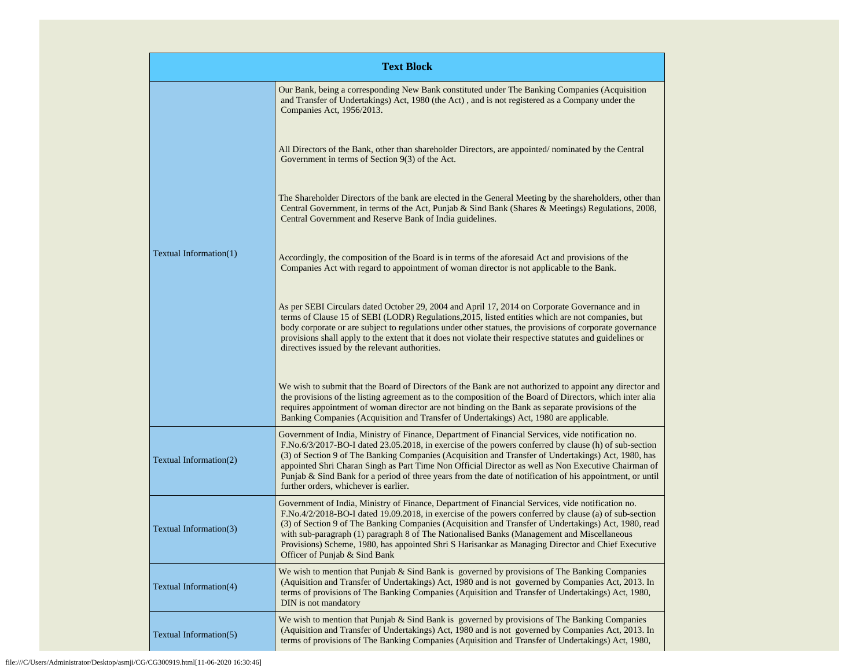|                        | <b>Text Block</b>                                                                                                                                                                                                                                                                                                                                                                                                                                                                                                                                                              |
|------------------------|--------------------------------------------------------------------------------------------------------------------------------------------------------------------------------------------------------------------------------------------------------------------------------------------------------------------------------------------------------------------------------------------------------------------------------------------------------------------------------------------------------------------------------------------------------------------------------|
|                        | Our Bank, being a corresponding New Bank constituted under The Banking Companies (Acquisition<br>and Transfer of Undertakings) Act, 1980 (the Act), and is not registered as a Company under the<br>Companies Act, 1956/2013.                                                                                                                                                                                                                                                                                                                                                  |
|                        | All Directors of the Bank, other than shareholder Directors, are appointed/nominated by the Central<br>Government in terms of Section $9(3)$ of the Act.                                                                                                                                                                                                                                                                                                                                                                                                                       |
|                        | The Shareholder Directors of the bank are elected in the General Meeting by the shareholders, other than<br>Central Government, in terms of the Act, Punjab & Sind Bank (Shares & Meetings) Regulations, 2008,<br>Central Government and Reserve Bank of India guidelines.                                                                                                                                                                                                                                                                                                     |
| Textual Information(1) | Accordingly, the composition of the Board is in terms of the aforesaid Act and provisions of the<br>Companies Act with regard to appointment of woman director is not applicable to the Bank.                                                                                                                                                                                                                                                                                                                                                                                  |
|                        | As per SEBI Circulars dated October 29, 2004 and April 17, 2014 on Corporate Governance and in<br>terms of Clause 15 of SEBI (LODR) Regulations, 2015, listed entities which are not companies, but<br>body corporate or are subject to regulations under other statues, the provisions of corporate governance<br>provisions shall apply to the extent that it does not violate their respective statutes and guidelines or<br>directives issued by the relevant authorities.                                                                                                 |
|                        | We wish to submit that the Board of Directors of the Bank are not authorized to appoint any director and<br>the provisions of the listing agreement as to the composition of the Board of Directors, which inter alia<br>requires appointment of woman director are not binding on the Bank as separate provisions of the<br>Banking Companies (Acquisition and Transfer of Undertakings) Act, 1980 are applicable.                                                                                                                                                            |
| Textual Information(2) | Government of India, Ministry of Finance, Department of Financial Services, vide notification no.<br>F.No.6/3/2017-BO-I dated 23.05.2018, in exercise of the powers conferred by clause (h) of sub-section<br>(3) of Section 9 of The Banking Companies (Acquisition and Transfer of Undertakings) Act, 1980, has<br>appointed Shri Charan Singh as Part Time Non Official Director as well as Non Executive Chairman of<br>Punjab & Sind Bank for a period of three years from the date of notification of his appointment, or until<br>further orders, whichever is earlier. |
| Textual Information(3) | Government of India, Ministry of Finance, Department of Financial Services, vide notification no.<br>F.No.4/2/2018-BO-I dated 19.09.2018, in exercise of the powers conferred by clause (a) of sub-section<br>(3) of Section 9 of The Banking Companies (Acquisition and Transfer of Undertakings) Act, 1980, read<br>with sub-paragraph (1) paragraph 8 of The Nationalised Banks (Management and Miscellaneous<br>Provisions) Scheme, 1980, has appointed Shri S Harisankar as Managing Director and Chief Executive<br>Officer of Punjab & Sind Bank                        |
| Textual Information(4) | We wish to mention that Punjab & Sind Bank is governed by provisions of The Banking Companies<br>(Aquisition and Transfer of Undertakings) Act, 1980 and is not governed by Companies Act, 2013. In<br>terms of provisions of The Banking Companies (Aquisition and Transfer of Undertakings) Act, 1980,<br>DIN is not mandatory                                                                                                                                                                                                                                               |
| Textual Information(5) | We wish to mention that Punjab $&$ Sind Bank is governed by provisions of The Banking Companies<br>(Aquisition and Transfer of Undertakings) Act, 1980 and is not governed by Companies Act, 2013. In<br>terms of provisions of The Banking Companies (Aquisition and Transfer of Undertakings) Act, 1980,                                                                                                                                                                                                                                                                     |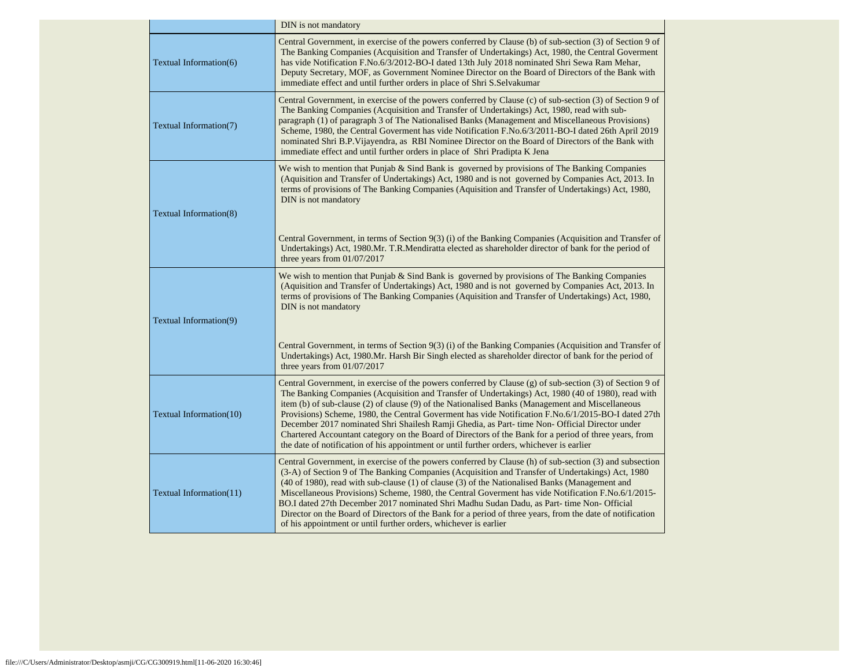|                               | DIN is not mandatory                                                                                                                                                                                                                                                                                                                                                                                                                                                                                                                                                                                                                                                                                                              |
|-------------------------------|-----------------------------------------------------------------------------------------------------------------------------------------------------------------------------------------------------------------------------------------------------------------------------------------------------------------------------------------------------------------------------------------------------------------------------------------------------------------------------------------------------------------------------------------------------------------------------------------------------------------------------------------------------------------------------------------------------------------------------------|
| Textual Information(6)        | Central Government, in exercise of the powers conferred by Clause (b) of sub-section (3) of Section 9 of<br>The Banking Companies (Acquisition and Transfer of Undertakings) Act, 1980, the Central Governent<br>has vide Notification F.No.6/3/2012-BO-I dated 13th July 2018 nominated Shri Sewa Ram Mehar,<br>Deputy Secretary, MOF, as Government Nominee Director on the Board of Directors of the Bank with<br>immediate effect and until further orders in place of Shri S.Selvakumar                                                                                                                                                                                                                                      |
| Textual Information(7)        | Central Government, in exercise of the powers conferred by Clause (c) of sub-section (3) of Section 9 of<br>The Banking Companies (Acquisition and Transfer of Undertakings) Act, 1980, read with sub-<br>paragraph (1) of paragraph 3 of The Nationalised Banks (Management and Miscellaneous Provisions)<br>Scheme, 1980, the Central Government has vide Notification F.No.6/3/2011-BO-I dated 26th April 2019<br>nominated Shri B.P.Vijayendra, as RBI Nominee Director on the Board of Directors of the Bank with<br>immediate effect and until further orders in place of Shri Pradipta K Jena                                                                                                                              |
| <b>Textual Information(8)</b> | We wish to mention that Punjab $\&$ Sind Bank is governed by provisions of The Banking Companies<br>(Aquisition and Transfer of Undertakings) Act, 1980 and is not governed by Companies Act, 2013. In<br>terms of provisions of The Banking Companies (Aquisition and Transfer of Undertakings) Act, 1980,<br>DIN is not mandatory                                                                                                                                                                                                                                                                                                                                                                                               |
|                               | Central Government, in terms of Section 9(3) (i) of the Banking Companies (Acquisition and Transfer of<br>Undertakings) Act, 1980.Mr. T.R.Mendiratta elected as shareholder director of bank for the period of<br>three years from 01/07/2017                                                                                                                                                                                                                                                                                                                                                                                                                                                                                     |
| Textual Information(9)        | We wish to mention that Punjab $&$ Sind Bank is governed by provisions of The Banking Companies<br>(Aquisition and Transfer of Undertakings) Act, 1980 and is not governed by Companies Act, 2013. In<br>terms of provisions of The Banking Companies (Aquisition and Transfer of Undertakings) Act, 1980,<br>DIN is not mandatory                                                                                                                                                                                                                                                                                                                                                                                                |
|                               | Central Government, in terms of Section 9(3) (i) of the Banking Companies (Acquisition and Transfer of<br>Undertakings) Act, 1980.Mr. Harsh Bir Singh elected as shareholder director of bank for the period of<br>three years from $01/07/2017$                                                                                                                                                                                                                                                                                                                                                                                                                                                                                  |
| Textual Information(10)       | Central Government, in exercise of the powers conferred by Clause (g) of sub-section (3) of Section 9 of<br>The Banking Companies (Acquisition and Transfer of Undertakings) Act, 1980 (40 of 1980), read with<br>item (b) of sub-clause (2) of clause (9) of the Nationalised Banks (Management and Miscellaneous<br>Provisions) Scheme, 1980, the Central Governent has vide Notification F.No.6/1/2015-BO-I dated 27th<br>December 2017 nominated Shri Shailesh Ramji Ghedia, as Part- time Non- Official Director under<br>Chartered Accountant category on the Board of Directors of the Bank for a period of three years, from<br>the date of notification of his appointment or until further orders, whichever is earlier |
| Textual Information(11)       | Central Government, in exercise of the powers conferred by Clause (h) of sub-section (3) and subsection<br>(3-A) of Section 9 of The Banking Companies (Acquisition and Transfer of Undertakings) Act, 1980<br>(40 of 1980), read with sub-clause (1) of clause (3) of the Nationalised Banks (Management and<br>Miscellaneous Provisions) Scheme, 1980, the Central Goverment has vide Notification F.No.6/1/2015-<br>BO.I dated 27th December 2017 nominated Shri Madhu Sudan Dadu, as Part- time Non- Official<br>Director on the Board of Directors of the Bank for a period of three years, from the date of notification<br>of his appointment or until further orders, whichever is earlier                                |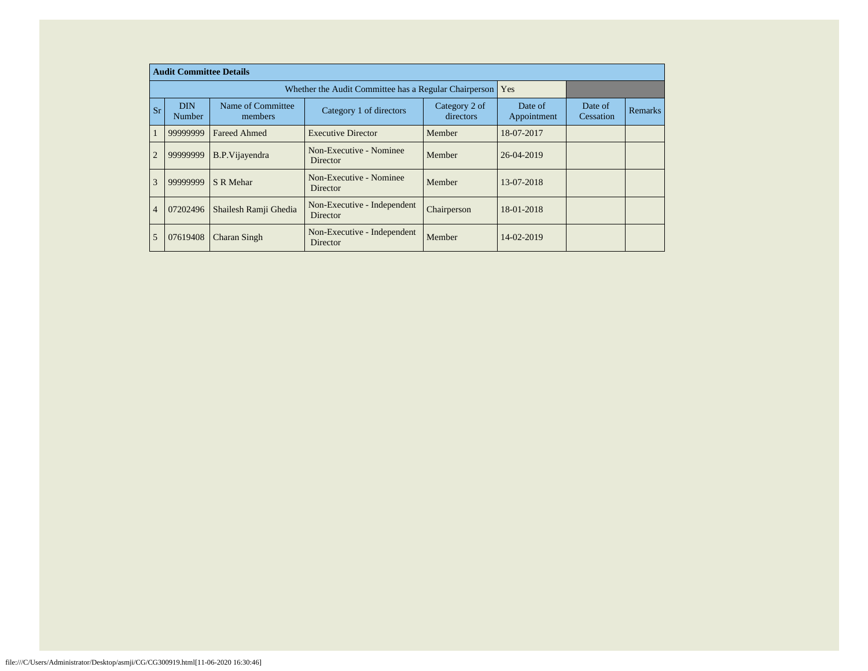|                |           |                      | <b>Audit Committee Details</b> |                                                       |                            |                        |                      |                |
|----------------|-----------|----------------------|--------------------------------|-------------------------------------------------------|----------------------------|------------------------|----------------------|----------------|
|                |           |                      |                                | Whether the Audit Committee has a Regular Chairperson |                            | Yes                    |                      |                |
|                | <b>Sr</b> | <b>DIN</b><br>Number | Name of Committee<br>members   | Category 1 of directors                               | Category 2 of<br>directors | Date of<br>Appointment | Date of<br>Cessation | <b>Remarks</b> |
|                |           | 99999999             | <b>Fareed Ahmed</b>            | <b>Executive Director</b>                             | Member                     | 18-07-2017             |                      |                |
| $\overline{2}$ |           | 99999999             | <b>B.P.Vijayendra</b>          | Non-Executive - Nominee<br>Director                   | Member                     | 26-04-2019             |                      |                |
| 3              |           | 99999999             | S R Mehar                      | Non-Executive - Nominee<br>Director                   | Member                     | 13-07-2018             |                      |                |
| $\overline{4}$ |           | 07202496             | Shailesh Ramji Ghedia          | Non-Executive - Independent<br>Director               | Chairperson                | 18-01-2018             |                      |                |
| 5              |           | 07619408             | Charan Singh                   | Non-Executive - Independent<br>Director               | Member                     | 14-02-2019             |                      |                |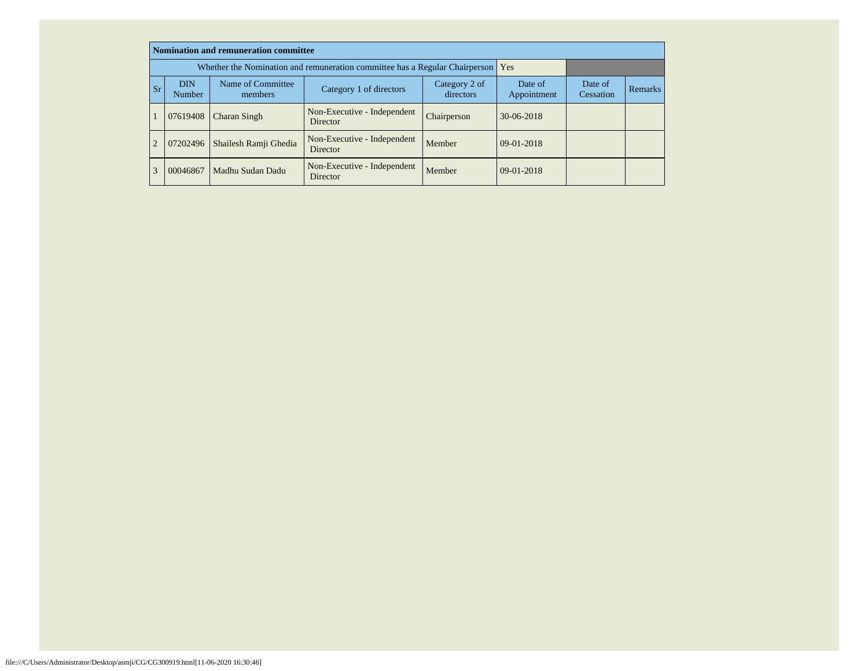|                                                                   |          | <b>Nomination and remuneration committee</b>                                    |                                         |                            |                        |                      |                |
|-------------------------------------------------------------------|----------|---------------------------------------------------------------------------------|-----------------------------------------|----------------------------|------------------------|----------------------|----------------|
|                                                                   |          | Whether the Nomination and remuneration committee has a Regular Chairperson Yes |                                         |                            |                        |                      |                |
| <b>DIN</b><br>Name of Committee<br><b>Sr</b><br>Number<br>members |          |                                                                                 | Category 1 of directors                 | Category 2 of<br>directors | Date of<br>Appointment | Date of<br>Cessation | <b>Remarks</b> |
|                                                                   | 07619408 | Charan Singh                                                                    | Non-Executive - Independent<br>Director | Chairperson                | $30-06-2018$           |                      |                |
| $\overline{2}$                                                    | 07202496 | Shailesh Ramji Ghedia                                                           | Non-Executive - Independent<br>Director | Member                     | 09-01-2018             |                      |                |
| 3                                                                 | 00046867 | Madhu Sudan Dadu                                                                | Non-Executive - Independent<br>Director | Member                     | $09-01-2018$           |                      |                |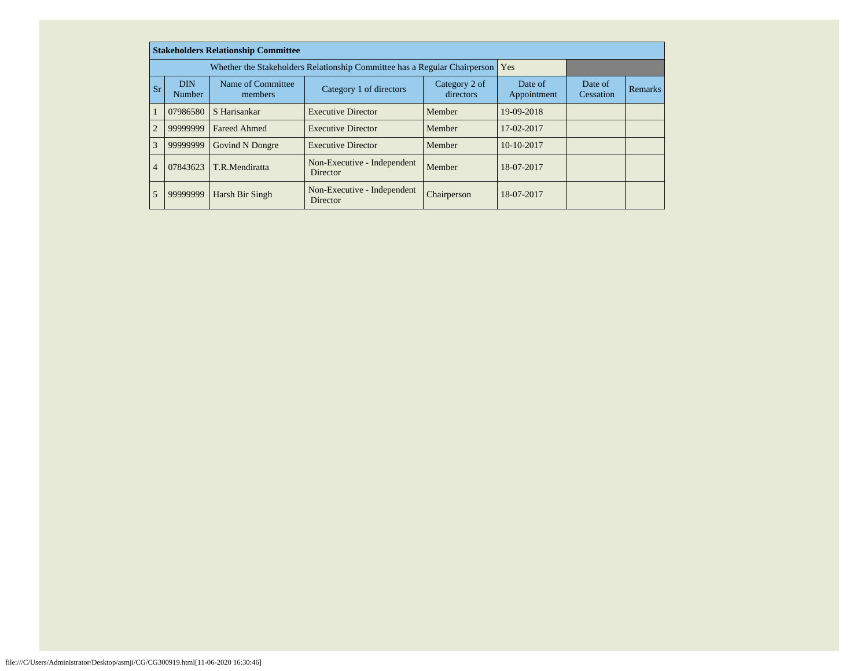|                |                             | <b>Stakeholders Relationship Committee</b> |                                                                           |                            |                        |                      |                |
|----------------|-----------------------------|--------------------------------------------|---------------------------------------------------------------------------|----------------------------|------------------------|----------------------|----------------|
|                |                             |                                            | Whether the Stakeholders Relationship Committee has a Regular Chairperson |                            | Yes                    |                      |                |
| <b>Sr</b>      | <b>DIN</b><br><b>Number</b> | Name of Committee<br>members               | Category 1 of directors                                                   | Category 2 of<br>directors | Date of<br>Appointment | Date of<br>Cessation | <b>Remarks</b> |
|                | 07986580                    | S Harisankar                               | <b>Executive Director</b>                                                 | Member                     | 19-09-2018             |                      |                |
| $\overline{2}$ | 99999999                    | <b>Fareed Ahmed</b>                        | <b>Executive Director</b>                                                 | Member                     | 17-02-2017             |                      |                |
| 3              | 99999999                    | Govind N Dongre                            | <b>Executive Director</b>                                                 | Member                     | 10-10-2017             |                      |                |
| $\overline{4}$ | 07843623<br>T.R.Mendiratta  |                                            | Non-Executive - Independent<br>Director                                   | Member                     | 18-07-2017             |                      |                |
| 5              | 99999999                    | Harsh Bir Singh                            | Non-Executive - Independent<br>Director                                   | Chairperson                | 18-07-2017             |                      |                |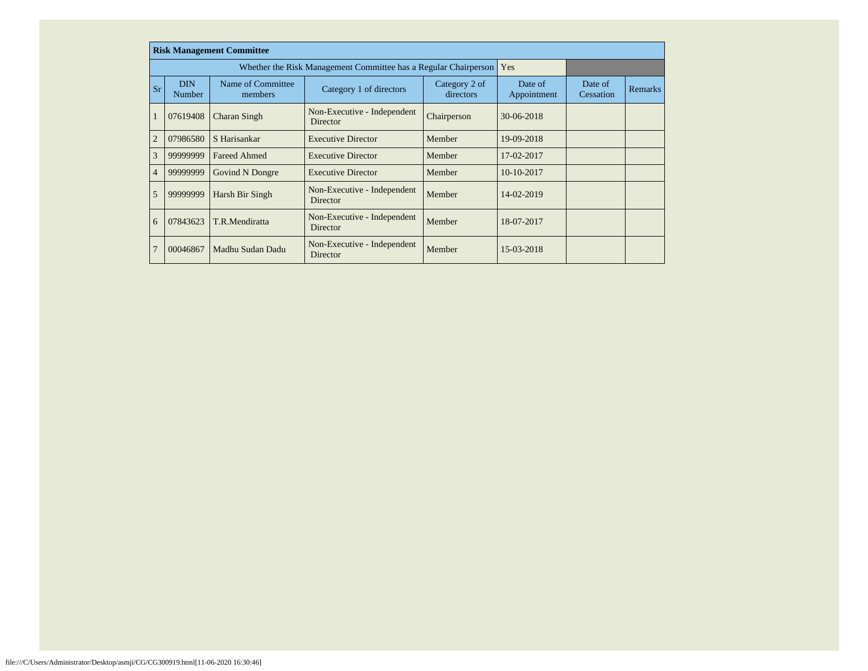|                |                      | <b>Risk Management Committee</b> |                                                                 |                            |                        |                      |                |
|----------------|----------------------|----------------------------------|-----------------------------------------------------------------|----------------------------|------------------------|----------------------|----------------|
|                |                      |                                  | Whether the Risk Management Committee has a Regular Chairperson |                            | Yes                    |                      |                |
| <b>Sr</b>      | <b>DIN</b><br>Number | Name of Committee<br>members     | Category 1 of directors                                         | Category 2 of<br>directors | Date of<br>Appointment | Date of<br>Cessation | <b>Remarks</b> |
|                | 07619408             | Charan Singh                     | Non-Executive - Independent<br>Director                         | Chairperson                | 30-06-2018             |                      |                |
| $\overline{2}$ | 07986580             | S Harisankar                     | <b>Executive Director</b>                                       | Member                     | 19-09-2018             |                      |                |
| 3              | 99999999             | <b>Fareed Ahmed</b>              | <b>Executive Director</b>                                       | Member                     | 17-02-2017             |                      |                |
| $\overline{4}$ | 99999999             | Govind N Dongre                  | <b>Executive Director</b>                                       | Member                     | $10-10-2017$           |                      |                |
| 5              | 99999999             | Harsh Bir Singh                  | Non-Executive - Independent<br>Director                         | Member                     | 14-02-2019             |                      |                |
| 6              | 07843623             | T.R.Mendiratta                   | Non-Executive - Independent<br>Director                         | Member                     | 18-07-2017             |                      |                |
| $\overline{7}$ | 00046867             | Madhu Sudan Dadu                 | Non-Executive - Independent<br>Director                         | Member                     | 15-03-2018             |                      |                |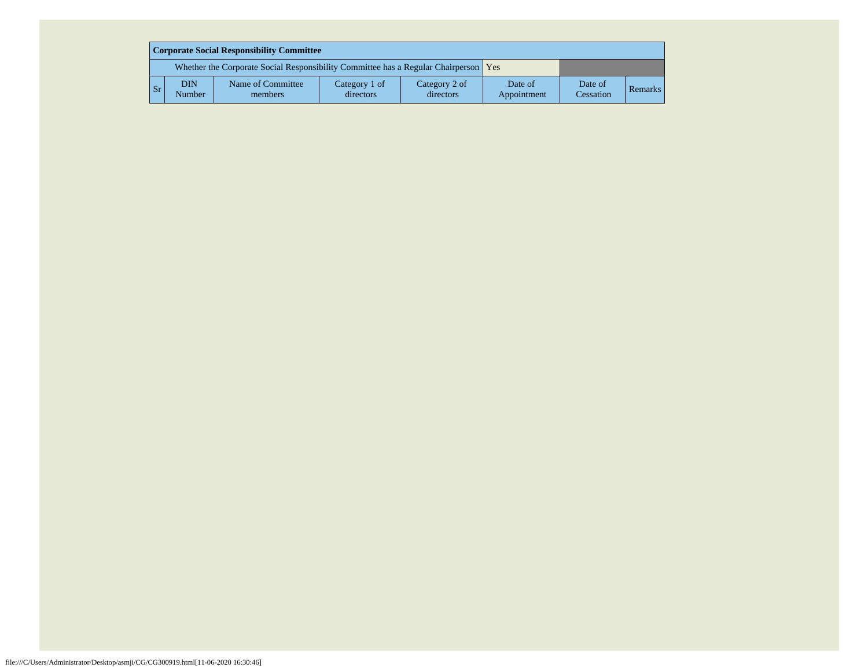| Corporate Social Responsibility Committee                                           |                      |                              |                            |                            |                        |                      |         |  |  |  |  |
|-------------------------------------------------------------------------------------|----------------------|------------------------------|----------------------------|----------------------------|------------------------|----------------------|---------|--|--|--|--|
| Whether the Corporate Social Responsibility Committee has a Regular Chairperson Yes |                      |                              |                            |                            |                        |                      |         |  |  |  |  |
| <b>Sr</b>                                                                           | <b>DIN</b><br>Number | Name of Committee<br>members | Category 1 of<br>directors | Category 2 of<br>directors | Date of<br>Appointment | Date of<br>Cessation | Remarks |  |  |  |  |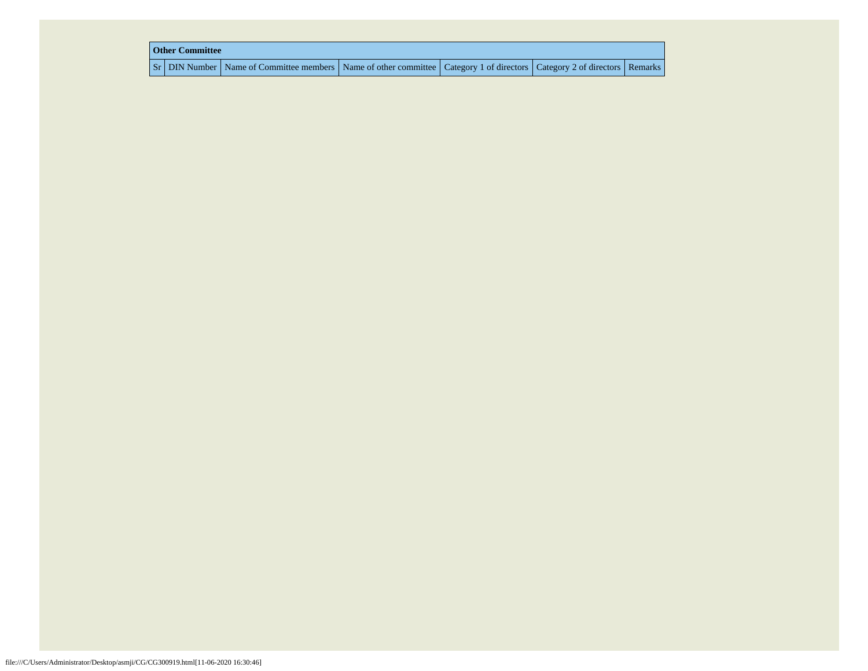| <b>Other Committee</b> |                                                                                                                                     |  |  |  |  |  |  |  |  |
|------------------------|-------------------------------------------------------------------------------------------------------------------------------------|--|--|--|--|--|--|--|--|
|                        | Sr   DIN Number   Name of Committee members   Name of other committee   Category 1 of directors   Category 2 of directors   Remarks |  |  |  |  |  |  |  |  |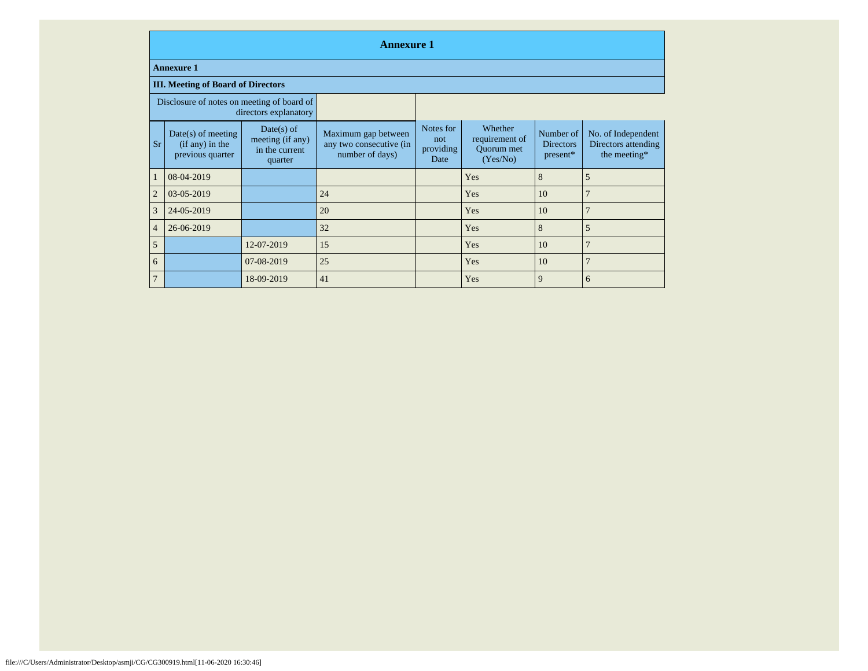|                                                                     | <b>Annexure 1</b>                                             |                                                               |                                                                   |                                        |                                                     |                                           |                                                           |
|---------------------------------------------------------------------|---------------------------------------------------------------|---------------------------------------------------------------|-------------------------------------------------------------------|----------------------------------------|-----------------------------------------------------|-------------------------------------------|-----------------------------------------------------------|
|                                                                     | <b>Annexure 1</b>                                             |                                                               |                                                                   |                                        |                                                     |                                           |                                                           |
|                                                                     | <b>III. Meeting of Board of Directors</b>                     |                                                               |                                                                   |                                        |                                                     |                                           |                                                           |
| Disclosure of notes on meeting of board of<br>directors explanatory |                                                               |                                                               |                                                                   |                                        |                                                     |                                           |                                                           |
| <b>Sr</b>                                                           | $Date(s)$ of meeting<br>$(if any)$ in the<br>previous quarter | $Date(s)$ of<br>meeting (if any)<br>in the current<br>quarter | Maximum gap between<br>any two consecutive (in<br>number of days) | Notes for<br>not.<br>providing<br>Date | Whether<br>requirement of<br>Quorum met<br>(Yes/No) | Number of<br><b>Directors</b><br>present* | No. of Independent<br>Directors attending<br>the meeting* |
|                                                                     | 08-04-2019                                                    |                                                               |                                                                   |                                        | Yes                                                 | 8                                         | 5                                                         |
| $\overline{2}$                                                      | 03-05-2019                                                    |                                                               | 24                                                                |                                        | Yes                                                 | 10                                        | $\overline{7}$                                            |
| 3                                                                   | 24-05-2019                                                    |                                                               | 20                                                                |                                        | Yes                                                 | 10                                        | 7                                                         |
| $\overline{4}$                                                      | 26-06-2019                                                    |                                                               | 32                                                                |                                        | Yes                                                 | 8                                         | 5                                                         |
| 5                                                                   |                                                               | 12-07-2019                                                    | 15                                                                |                                        | Yes                                                 | 10                                        | $\overline{7}$                                            |
| 6                                                                   |                                                               | 07-08-2019                                                    | 25                                                                |                                        | Yes                                                 | 10                                        | $\overline{7}$                                            |
| $\overline{7}$                                                      |                                                               | 18-09-2019                                                    | 41                                                                |                                        | Yes                                                 | 9                                         | 6                                                         |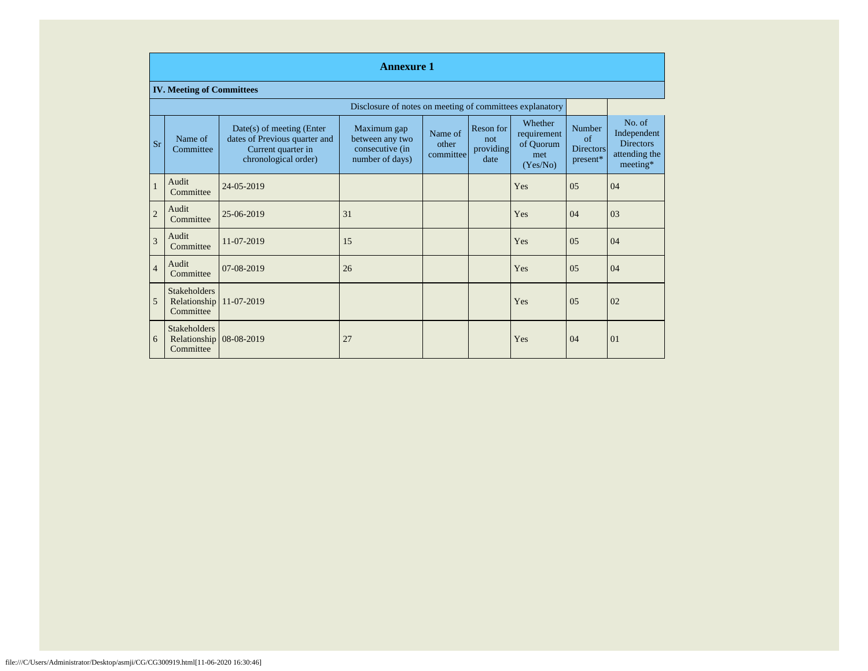|                | <b>Annexure 1</b>                                |                                                                                                            |                                                                      |                               |                                       |                                                        |                                                    |                                                                        |
|----------------|--------------------------------------------------|------------------------------------------------------------------------------------------------------------|----------------------------------------------------------------------|-------------------------------|---------------------------------------|--------------------------------------------------------|----------------------------------------------------|------------------------------------------------------------------------|
|                | <b>IV. Meeting of Committees</b>                 |                                                                                                            |                                                                      |                               |                                       |                                                        |                                                    |                                                                        |
|                |                                                  |                                                                                                            | Disclosure of notes on meeting of committees explanatory             |                               |                                       |                                                        |                                                    |                                                                        |
| <b>Sr</b>      | Name of<br>Committee                             | $Date(s)$ of meeting (Enter<br>dates of Previous quarter and<br>Current quarter in<br>chronological order) | Maximum gap<br>between any two<br>consecutive (in<br>number of days) | Name of<br>other<br>committee | Reson for<br>not<br>providing<br>date | Whether<br>requirement<br>of Quorum<br>met<br>(Yes/No) | Number<br>$\alpha$<br><b>Directors</b><br>present* | No. of<br>Independent<br><b>Directors</b><br>attending the<br>meeting* |
| $\mathbf{1}$   | Audit<br>Committee                               | 24-05-2019                                                                                                 |                                                                      |                               |                                       | Yes                                                    | 05                                                 | 04                                                                     |
| $\overline{c}$ | Audit<br>Committee                               | 25-06-2019                                                                                                 | 31                                                                   |                               |                                       | Yes                                                    | 04                                                 | 03                                                                     |
| $\overline{3}$ | Audit<br>Committee                               | 11-07-2019                                                                                                 | 15                                                                   |                               |                                       | Yes                                                    | 0.5                                                | 04                                                                     |
| $\overline{4}$ | Audit<br>Committee                               | 07-08-2019                                                                                                 | 26                                                                   |                               |                                       | Yes                                                    | 05                                                 | 04                                                                     |
| 5              | <b>Stakeholders</b><br>Relationship<br>Committee | 11-07-2019                                                                                                 |                                                                      |                               |                                       | Yes                                                    | 0.5                                                | 02                                                                     |
| 6              | <b>Stakeholders</b><br>Relationship<br>Committee | 08-08-2019                                                                                                 | 27                                                                   |                               |                                       | Yes                                                    | 04                                                 | $\Omega$                                                               |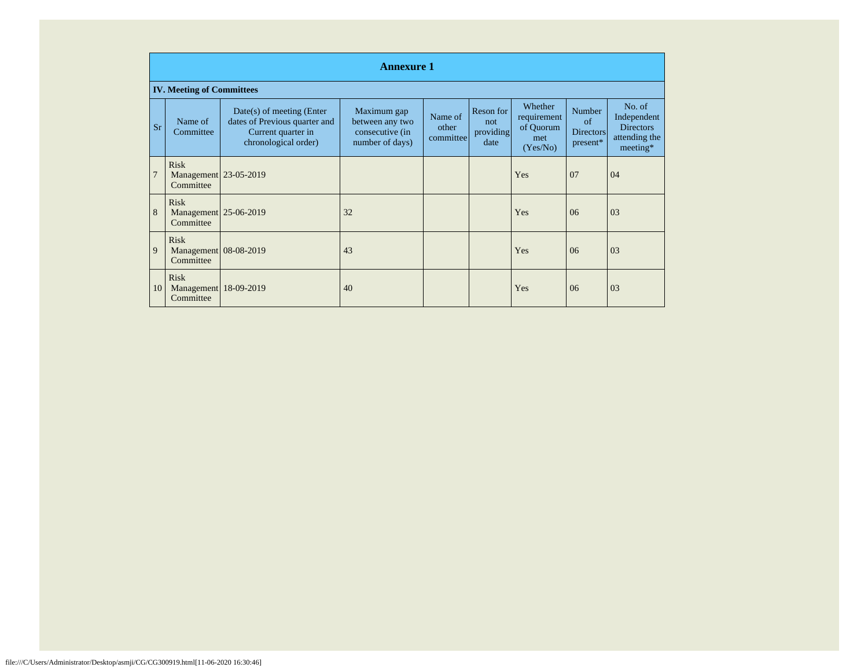|           | <b>Annexure 1</b>                                 |                                                                                                            |                                                                      |                               |                                       |                                                        |                                              |                                                                        |
|-----------|---------------------------------------------------|------------------------------------------------------------------------------------------------------------|----------------------------------------------------------------------|-------------------------------|---------------------------------------|--------------------------------------------------------|----------------------------------------------|------------------------------------------------------------------------|
|           | <b>IV. Meeting of Committees</b>                  |                                                                                                            |                                                                      |                               |                                       |                                                        |                                              |                                                                        |
| <b>Sr</b> | Name of<br>Committee                              | $Date(s)$ of meeting (Enter<br>dates of Previous quarter and<br>Current quarter in<br>chronological order) | Maximum gap<br>between any two<br>consecutive (in<br>number of days) | Name of<br>other<br>committee | Reson for<br>not<br>providing<br>date | Whether<br>requirement<br>of Quorum<br>met<br>(Yes/No) | Number<br>of<br><b>Directors</b><br>present* | No. of<br>Independent<br><b>Directors</b><br>attending the<br>meeting* |
| 7         | <b>Risk</b><br>Management 23-05-2019<br>Committee |                                                                                                            |                                                                      |                               |                                       | Yes                                                    | 07                                           | 04                                                                     |
| 8         | <b>Risk</b><br>Management 25-06-2019<br>Committee |                                                                                                            | 32                                                                   |                               |                                       | Yes                                                    | 06                                           | 03                                                                     |
| 9         | <b>Risk</b><br>Management 08-08-2019<br>Committee |                                                                                                            | 43                                                                   |                               |                                       | Yes                                                    | 06                                           | 03                                                                     |
| 10        | <b>Risk</b><br>Management 18-09-2019<br>Committee |                                                                                                            | 40                                                                   |                               |                                       | Yes                                                    | 06                                           | 03                                                                     |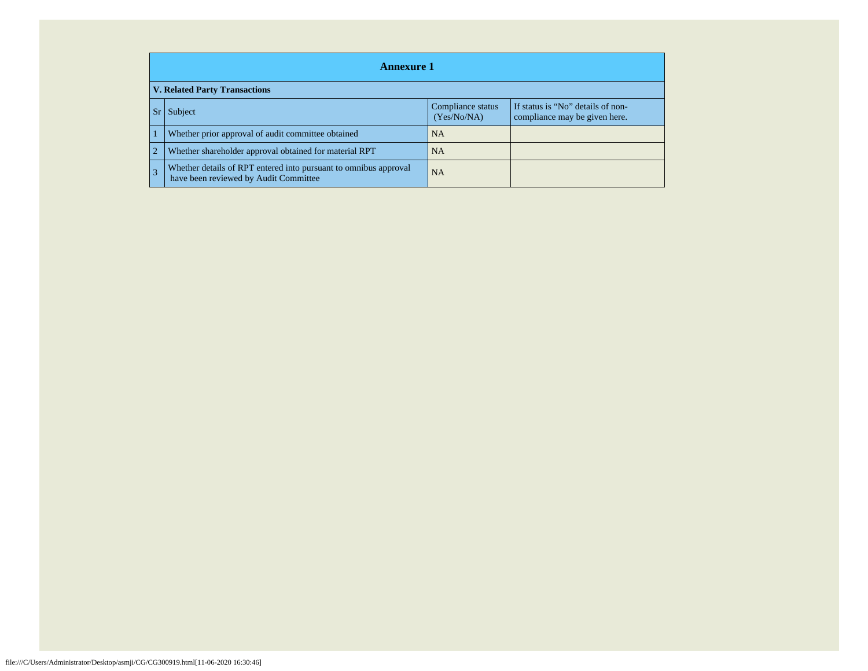|                | <b>Annexure 1</b>                                                                                         |                                  |                                                                    |  |  |
|----------------|-----------------------------------------------------------------------------------------------------------|----------------------------------|--------------------------------------------------------------------|--|--|
|                | <b>V. Related Party Transactions</b>                                                                      |                                  |                                                                    |  |  |
| Sr.            | Subject                                                                                                   | Compliance status<br>(Yes/No/NA) | If status is "No" details of non-<br>compliance may be given here. |  |  |
|                | Whether prior approval of audit committee obtained                                                        | <b>NA</b>                        |                                                                    |  |  |
| $\overline{2}$ | Whether shareholder approval obtained for material RPT                                                    | <b>NA</b>                        |                                                                    |  |  |
| 3              | Whether details of RPT entered into pursuant to omnibus approval<br>have been reviewed by Audit Committee | <b>NA</b>                        |                                                                    |  |  |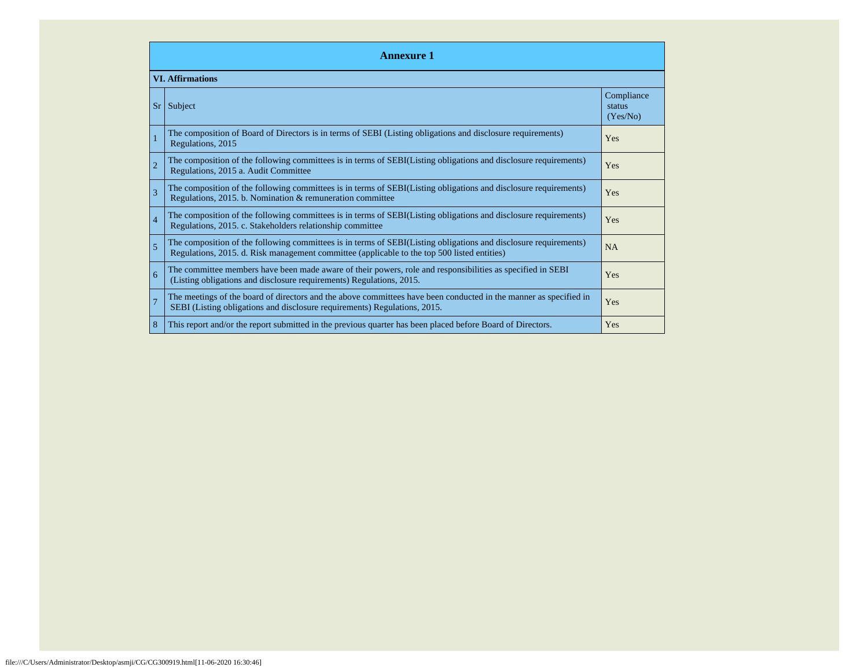| <b>Annexure 1</b> |                                                                                                                                                                                                                 |                                  |  |  |  |
|-------------------|-----------------------------------------------------------------------------------------------------------------------------------------------------------------------------------------------------------------|----------------------------------|--|--|--|
|                   | <b>VI. Affirmations</b>                                                                                                                                                                                         |                                  |  |  |  |
| Sr <sub>1</sub>   | Subject                                                                                                                                                                                                         | Compliance<br>status<br>(Yes/No) |  |  |  |
|                   | The composition of Board of Directors is in terms of SEBI (Listing obligations and disclosure requirements)<br>Regulations, 2015                                                                                | <b>Yes</b>                       |  |  |  |
|                   | The composition of the following committees is in terms of SEBI(Listing obligations and disclosure requirements)<br>Regulations, 2015 a. Audit Committee                                                        | <b>Yes</b>                       |  |  |  |
| 3                 | The composition of the following committees is in terms of SEBI(Listing obligations and disclosure requirements)<br>Regulations, 2015. b. Nomination & remuneration committee                                   | <b>Yes</b>                       |  |  |  |
| $\overline{4}$    | The composition of the following committees is in terms of SEBI(Listing obligations and disclosure requirements)<br>Regulations, 2015. c. Stakeholders relationship committee                                   | Yes                              |  |  |  |
| $\overline{5}$    | The composition of the following committees is in terms of SEBI(Listing obligations and disclosure requirements)<br>Regulations, 2015. d. Risk management committee (applicable to the top 500 listed entities) | <b>NA</b>                        |  |  |  |
| 6                 | The committee members have been made aware of their powers, role and responsibilities as specified in SEBI<br>(Listing obligations and disclosure requirements) Regulations, 2015.                              | Yes                              |  |  |  |
|                   | The meetings of the board of directors and the above committees have been conducted in the manner as specified in<br>SEBI (Listing obligations and disclosure requirements) Regulations, 2015.                  | Yes                              |  |  |  |
| 8                 | This report and/or the report submitted in the previous quarter has been placed before Board of Directors.                                                                                                      | Yes                              |  |  |  |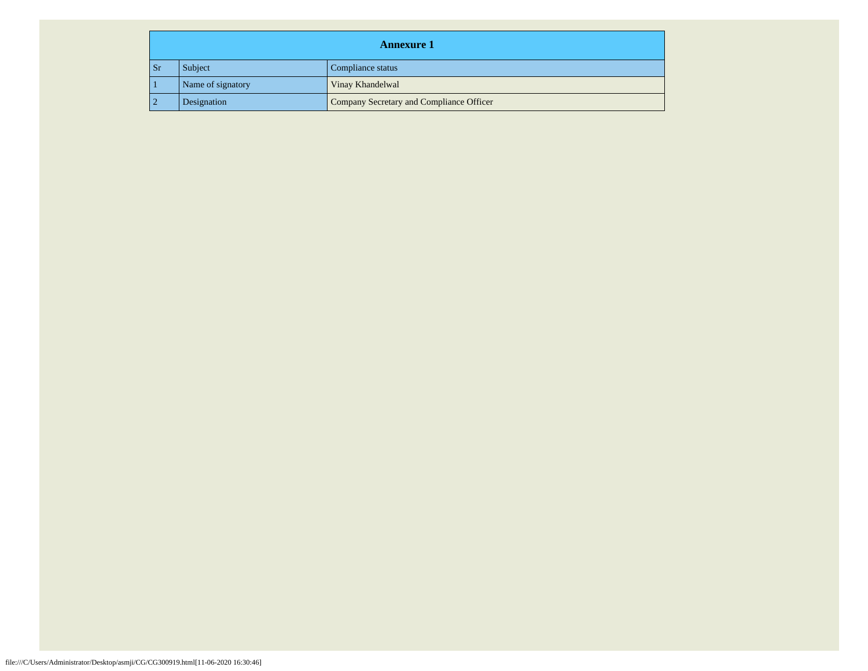|     | <b>Annexure 1</b> |                                          |  |  |  |
|-----|-------------------|------------------------------------------|--|--|--|
| Sr. | Subject           | Compliance status                        |  |  |  |
|     | Name of signatory | Vinay Khandelwal                         |  |  |  |
|     | Designation       | Company Secretary and Compliance Officer |  |  |  |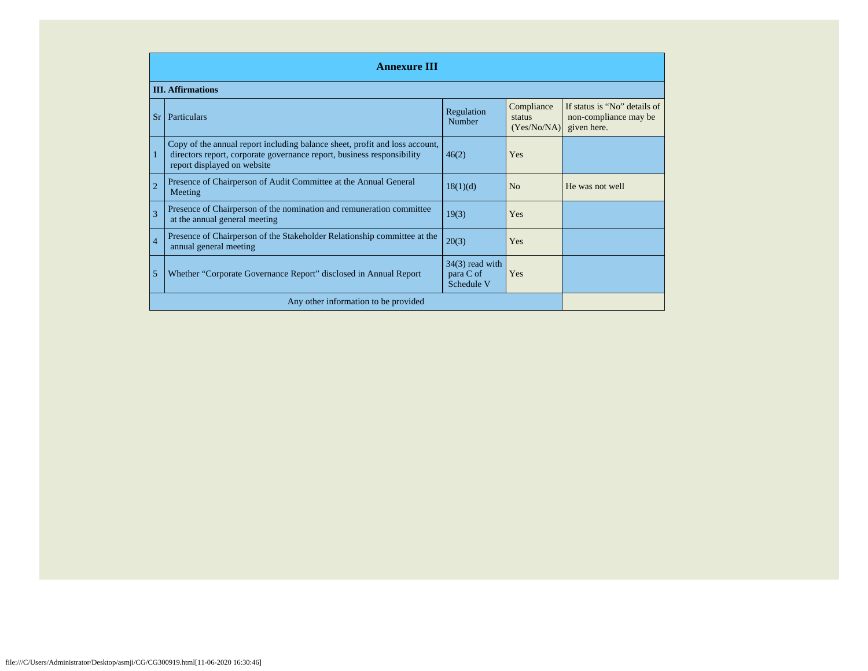| <b>Annexure III</b> |                                                                                                                                                                                      |                                              |                                     |                                                                      |
|---------------------|--------------------------------------------------------------------------------------------------------------------------------------------------------------------------------------|----------------------------------------------|-------------------------------------|----------------------------------------------------------------------|
|                     | <b>III. Affirmations</b>                                                                                                                                                             |                                              |                                     |                                                                      |
|                     | Sr   Particulars                                                                                                                                                                     | Regulation<br>Number                         | Compliance<br>status<br>(Yes/No/NA) | If status is "No" details of<br>non-compliance may be<br>given here. |
| 1                   | Copy of the annual report including balance sheet, profit and loss account,<br>directors report, corporate governance report, business responsibility<br>report displayed on website | 46(2)                                        | Yes                                 |                                                                      |
| $\overline{2}$      | Presence of Chairperson of Audit Committee at the Annual General<br>Meeting                                                                                                          | 18(1)(d)                                     | N <sub>o</sub>                      | He was not well                                                      |
| 3                   | Presence of Chairperson of the nomination and remuneration committee<br>at the annual general meeting                                                                                | 19(3)                                        | Yes                                 |                                                                      |
| $\overline{4}$      | Presence of Chairperson of the Stakeholder Relationship committee at the<br>annual general meeting                                                                                   | 20(3)                                        | Yes                                 |                                                                      |
| 5                   | Whether "Corporate Governance Report" disclosed in Annual Report                                                                                                                     | $34(3)$ read with<br>para C of<br>Schedule V | Yes                                 |                                                                      |
|                     | Any other information to be provided                                                                                                                                                 |                                              |                                     |                                                                      |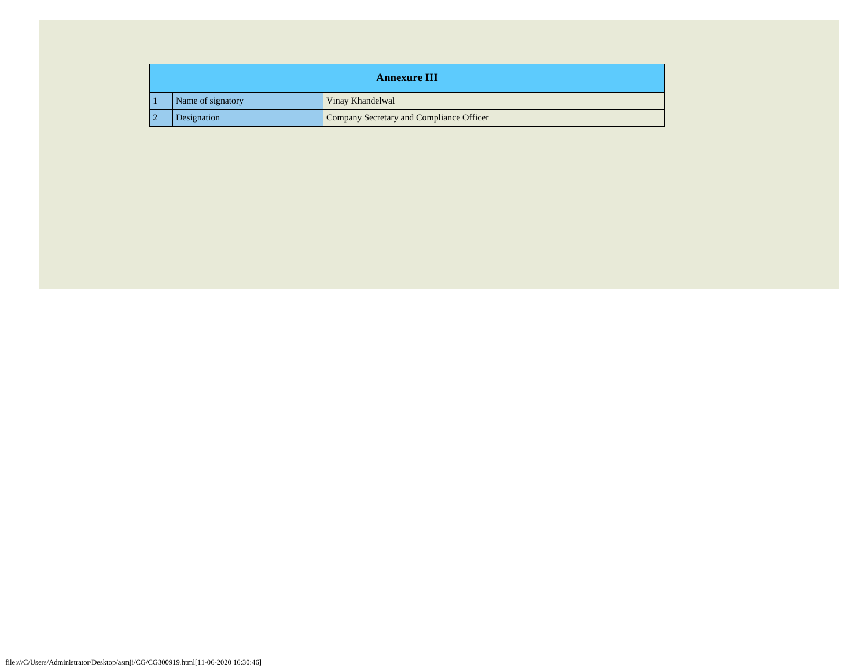| <b>Annexure III</b> |                                          |  |  |
|---------------------|------------------------------------------|--|--|
| Name of signatory   | Vinay Khandelwal                         |  |  |
| Designation         | Company Secretary and Compliance Officer |  |  |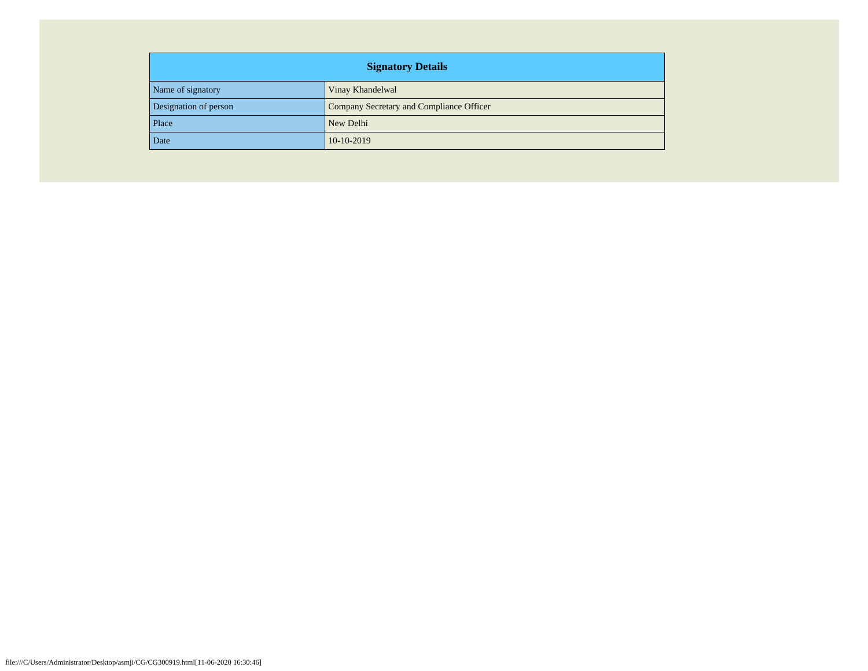| <b>Signatory Details</b> |                                          |  |  |
|--------------------------|------------------------------------------|--|--|
| Name of signatory        | Vinay Khandelwal                         |  |  |
| Designation of person    | Company Secretary and Compliance Officer |  |  |
| Place                    | New Delhi                                |  |  |
| Date                     | $10-10-2019$                             |  |  |